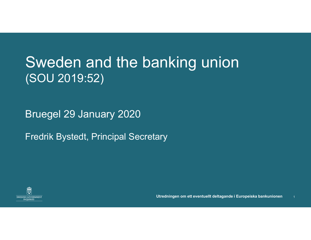#### Sweden and the banking union (SOU 2019:52)

Bruegel 29 January 2020

Fredrik Bystedt, Principal Secretary



Utredningen om ett eventuellt deltagande i Europeiska bankunionen <sup>1</sup>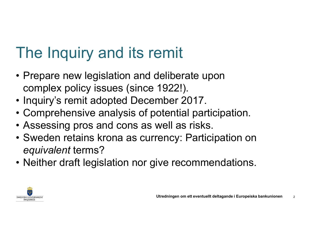### The Inquiry and its remit

- The Inquiry and its remit<br>• Prepare new legislation and deliberate upon<br>• complex policy issues (since 1922!).<br>• Inquiry's remit adopted December 2017. complex policy issues (since 1922!). The Inquiry and its remit<br>• Prepare new legislation and deliberate upon<br>complex policy issues (since 1922!)<br>• Inquiry's remit adopted December 2017.<br>• Comprehensive analysis of potential participatio<br>• Assessing pros and c The Inquiry and its remit<br>• Prepare new legislation and deliberate upon<br>complex policy issues (since 1922!).<br>• Inquiry's remit adopted December 2017.<br>• Comprehensive analysis of potential participation.<br>• Assessing pros an The Inquiry and its remit<br>• Prepare new legislation and deliberate upon<br>complex policy issues (since 1922!).<br>• Inquiry's remit adopted December 2017.<br>• Comprehensive analysis of potential participation<br>• Assessing pros and
- 
- 
- 
- The Inquiry and its remit<br>• Prepare new legislation and deliberate upon<br>complex policy issues (since 1922!).<br>• Inquiry's remit adopted December 2017.<br>• Comprehensive analysis of potential participation.<br>• Assessing pros an equivalent terms? • Prepare new legislation and deliberate upon<br>
complex policy issues (since 1922!).<br>
• Inquiry's remit adopted December 2017.<br>
• Comprehensive analysis of potential participation.<br>
• Assessing pros and cons as well as risk mber 2017.<br>otential participation.<br>well as risks.<br>rency: Participation on<br>ive recommendations.<br>Wutredningen om ett eventuellt deltagande i Europeiska bankunionen 22
- 

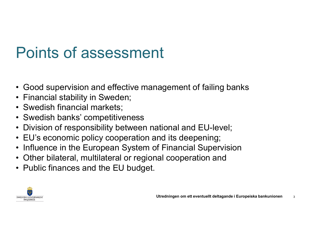## Points of assessment<br>• Good supervision and effective management of failing banks<br>• Financial stability in Sweden;<br>• Swedish financial markets; **Points of assessment**<br>• Good supervision and effective manage<br>• Financial stability in Sweden;<br>• Swedish financial markets;<br>• Swedish banks' competitiveness **Points of assessmer**<br>• Good supervision and effective man<br>• Financial stability in Sweden;<br>• Swedish financial markets;<br>• Division of responsibility between na **Points of assessment<br>• Good supervision and effective management of f<br>• Financial stability in Sweden;<br>• Swedish financial markets;<br>• Swedish banks' competitiveness<br>• Division of responsibility between national and E<br>• EU** • Cood supervision and effective management of failing banks<br>• Financial stability in Sweden;<br>• Swedish financial markets;<br>• Swedish banks' competitiveness<br>• Division of responsibility between national and EU-level;<br>• EU's • Good supervision and effective management of failing banks<br>• Financial stability in Sweden;<br>• Swedish financial markets;<br>• Swedish banks' competitiveness<br>• Division of responsibility between national and EU-level;<br>• EU's **Points of assessment**<br>• Good supervision and effective management of failing banks<br>• Financial stability in Sweden;<br>• Swedish financial markets;<br>• Swedish banks' competitiveness<br>• Division of responsibility between nation Points of assessment

- Good supervision and effective management of failing banks<br>• Financial stability in Sweden;<br>• Swedish financial markets;<br>• Swedish banks' competitiveness<br>• Division of responsibility between national and EU-level;<br>• EU's
- 
- 
- 
- Good supervision and effective managemen<br>• Financial stability in Sweden;<br>• Swedish financial markets;<br>• Swedish banks' competitiveness<br>• Division of responsibility between national ar<br>• EU's economic policy cooperation
- 
- 
- 
- 

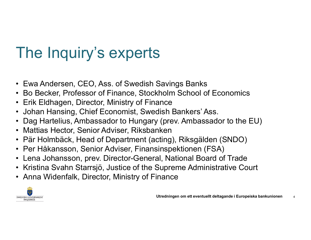## The Inquiry's experts<br>• Ewa Andersen, CEO, Ass. of Swedish Savings Banks<br>• Bo Becker, Professor of Finance, Stockholm School of Economics<br>• Erik Eldhagen, Director, Ministry of Finance The Inquiry's experts<br>• Ewa Andersen, CEO, Ass. of Swedish Savings Banks<br>• Bo Becker, Professor of Finance, Stockholm School of Economics<br>• Erik Eldhagen, Director, Ministry of Finance<br>• Johan Hansing, Chief Economist, Swe The Inquiry's experts<br>• Ewa Andersen, CEO, Ass. of Swedish Savings Banks<br>• Bo Becker, Professor of Finance, Stockholm School of Econom<br>• Erik Eldhagen, Director, Ministry of Finance<br>• Johan Hansing, Chief Economist, Swedis The Inquiry's experts<br>• Ewa Andersen, CEO, Ass. of Swedish Savings Banks<br>• Bo Becker, Professor of Finance, Stockholm School of Economics<br>• Erik Eldhagen, Director, Ministry of Finance<br>• Johan Hansing, Chief Economist, Swe The Inquiry's experts<br>• Ewa Andersen, CEO, Ass. of Swedish Savings Banks<br>• Bo Becker, Professor of Finance, Stockholm School of Economics<br>• Erik Eldhagen, Director, Ministry of Finance<br>• Johan Hansing, Chief Economist, Swe The Inquiry's experts<br>• Ewa Andersen, CEO, Ass. of Swedish Savings Banks<br>• Bo Becker, Professor of Finance, Stockholm School of Econom<br>• Erik Eldhagen, Director, Ministry of Finance<br>• Johan Hansing, Chief Economist, Swedis The Inquiry's experts<br>• Ewa Andersen, CEO, Ass. of Swedish Savings Banks<br>• Bo Becker, Professor of Finance, Stockholm School of Economics<br>• Erik Eldhagen, Director, Ministry of Finance<br>• Johan Hansing, Chief Economist, Swe The Inquiry's experts

- 
- 
- 
- 
- 
- 
- Ewa Andersen, CEO, Ass. of Swedish Savings Banks<br>• Bo Becker, Professor of Finance, Stockholm School of Economic<br>• Erik Eldhagen, Director, Ministry of Finance<br>• Johan Hansing, Chief Economist, Swedish Bankers' Ass.<br>• Da
- 
- 
- The Inquiry's experts<br>
 Ewa Andersen, CEO, Ass. of Swedish Savings Banks<br>
 Bo Becker, Professor of Finance, Stockholm School of Economics<br>
 Erik Eldhagen, Director, Ministry of Finance<br>
 Johan Hansing, Chief Economist, • Lena Andersen, CEO, Ass. of Swedish Savings Banks<br>• Bo Becker, Professor of Finance, Stockholm School of Economics<br>• Erik Eldhagen, Director, Ministry of Finance<br>• Johan Hansing, Chief Economist, Swedish Bankers' Ass.<br>• • Ewa Andersen, CEO, Ass. of Swedish Savings Banks<br>• Bo Becker, Professor of Finance, Stockholm School of Economics<br>• Erik Eldhagen, Director, Ministry of Finance<br>• Johan Hansing, Chief Economist, Swedish Bankers' Ass.<br>• D
- 

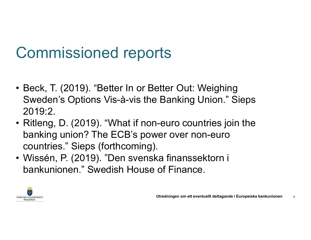### Commissioned reports

- Commissioned reports<br>• Beck, T. (2019). "Better In or Better Out: Weighing<br>Sweden's Options Vis-à-vis the Banking Union." Sieps<br>2019:2. Sweden's Options Vis-à-vis the Banking Union." Sieps 2019:2. Commissioned reports<br>• Beck, T. (2019). "Better In or Better Out: Weighing<br>Sweden's Options Vis-à-vis the Banking Union." Sieps<br>2019:2.<br>• Ritleng, D. (2019). "What if non-euro countries join the<br>banking union? The ECB's po
- banking union? The ECB's power over non-euro Commissioned reports<br>
Beck, T. (2019). "Better In or Better Out: Weighi<br>
Sweden's Options Vis-à-vis the Banking Union.'<br>
2019:2.<br>
Ritleng, D. (2019). "What if non-euro countries j<br>
banking union? The ECB's power over non-e • Beck, T. (2019). "Better In or Better Out: Weighing<br>
• Beck, T. (2019). "Better In or Better Out: Weighing<br>
2019:2.<br>
• Ritleng, D. (2019). "What if non-euro countries join the<br>
banking union? The ECB's power over non-eur Beck, T. (2019). "Better In or Better Out: Weighing<br>Sweden's Options Vis-à-vis the Banking Union." Sieps<br>2019:2.<br>Ritleng, D. (2019). "What if non-euro countries join the<br>banking union? The ECB's power over non-euro<br>countri
- 

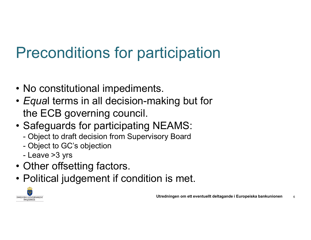### Preconditions for participation

- 
- **Preconditions for participa**<br>• No constitutional impediments.<br>• *Equa*l terms in all decision-making but<br>the ECB governing council. • Equal terms in all decision-making but for the ECB governing council. **Preconditions for participation**<br>• No constitutional impediments.<br>• *Equa*l terms in all decision-making but for<br>the ECB governing council.<br>• Safeguards for participating NEAMS:<br>- Object to draft decision from Supervisory Preconditions for participation<br>No constitutional impediments.<br>*Equa*l terms in all decision-making but for<br>the ECB governing council.<br>Safeguards for participating NEAMS:<br>- Object to draft decision from Supervisory Board<br>-Preconditions for pal<br>No constitutional impediment<br>*Equa*l terms in all decision-mar<br>the ECB governing council.<br>Safeguards for participating N<br>- Object to draft decision from Supervis<br>- Object to GC's objection<br>- Leave >3 Tecol fultions for particular<br>No constitutional impediment<br>Equal terms in all decision-maine<br>ECB governing council.<br>Safeguards for participating N<br>- Object to draft decision from Supervis<br>- Object to GC's objection<br>- Leave • No constitutional impediments.<br>
• *Equal* terms in all decision-mak<br>
the ECB governing council.<br>
• Safeguards for participating NE<br>
– Object to draft decision from Supervisory<br>
– Object to GC's objection<br>
– Leave >3 yrs<br> • No constitutional impediments.<br>
• Equal terms in all decision-making but for<br>
the ECB governing council.<br>
• Safeguards for participating NEAMS:<br>
– Object to draft decision from Supervisory Board<br>
– Object to GC's objecti
- -
	-
	-
- 
- 

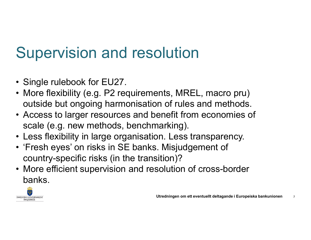### Supervision and resolution

- 
- **Supervision and resc**<br>• Single rulebook for EU27.<br>• More flexibility (e.g. P2 requiremeroutside but ongoing harmonisation Supervision and resolution<br>• Single rulebook for EU27.<br>• More flexibility (e.g. P2 requirements, MREL, macro pru)<br>• Access to larger resources and benefit from economies of outside but ongoing harmonisation of rules and methods.
- Supervision and resolution<br>• Single rulebook for EU27.<br>• More flexibility (e.g. P2 requirements, MREL, macro pru)<br>• outside but ongoing harmonisation of rules and methods.<br>• Access to larger resources and benefit from econ scale (e.g. new methods, benchmarking). Supervision and resolution<br>• Single rulebook for EU27.<br>• More flexibility (e.g. P2 requirements, MREL, macro pru)<br>outside but ongoing harmonisation of rules and methods.<br>• Access to larger resources and benefit from econom Supervision and resolution<br>
• Single rulebook for EU27.<br>
• More flexibility (e.g. P2 requirements, MREL, macro pru)<br>
outside but ongoing harmonisation of rules and methods.<br>
• Access to larger resources and benefit from ec • Single rulebook for EU27.<br>• More flexibility (e.g. P2 requirements, MREL, macro pru)<br>outside but ongoing harmonisation of rules and methods.<br>• Access to larger resources and benefit from economies of<br>scale (e.g. new meth
- 
- country-specific risks (in the transition)?
- banks.

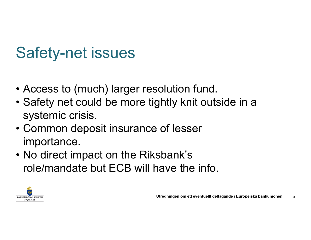### Safety-net issues

- 
- Safety-net issues<br>• Access to (much) larger resolution fund.<br>• Safety net could be more tightly knit outside in a 9 Safety-net issues<br>• Access to (much) larger resolution fund.<br>• Safety net could be more tightly knit outside in a<br>• Common deposit insurance of lesser systemic crisis. Safety-net issues<br>• Access to (much) larger resolution fund.<br>• Safety net could be more tightly knit outside<br>• Sommon deposit insurance of lesser<br>• Mo direct impact on the Riksbank's • Access to (much) larger resolution fund.<br>• Safety net could be more tightly knit outside in<br>systemic crisis.<br>• Common deposit insurance of lesser<br>importance.<br>• No direct impact on the Riksbank's<br>role/mandate but ECB will
- importance.
- role/mandate but ECB will have the info.

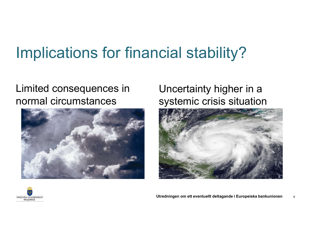# **Implications for financial stability?**

#### Limited consequences in Uncertainty higher in a normal circumstances



# cial stability?<br>Uncertainty higher in a<br>systemic crisis situation





Utredningen om ett eventuellt deltagande i Europeiska bankunionen 9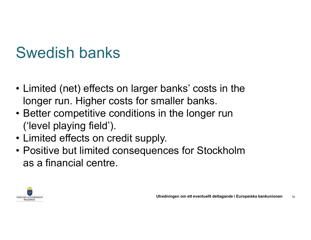### Swedish banks

- Swedish banks<br>• Limited (net) effects on larger banks' costs in the<br>longer run. Higher costs for smaller banks.<br>• Better competitive conditions in the longer run longer run. Higher costs for smaller banks. Swedish banks<br>• Limited (net) effects on larger banks' costs in the<br>longer run. Higher costs for smaller banks.<br>• Better competitive conditions in the longer run<br>('level playing field').<br>• Limited effects on credit supply. • Limited (net) effects on larger banks' costs in the longer run. Higher costs for smaller banks.<br>• Better competitive conditions in the longer run ('level playing field').<br>• Limited effects on credit supply.<br>• Positive bu
- ('level playing field'). Swedish banks<br>• Limited (net) effects on larger banks' conding the Unity of the Setter competitive conditions in the lon<br>• Better competitive conditions in the lon<br>• Limited effects on credit supply.<br>• Positive but limited
- 
- as a financial centre.

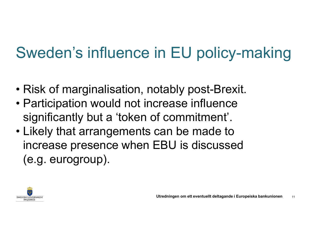### Sweden's influence in EU policy-making

- 
- Sweden's influence in EU policy-makin<br>• Risk of marginalisation, notably post-Brexit.<br>• Participation would not increase influence Sweden's influence in EU policy-maki<br>• Risk of marginalisation, notably post-Brexit.<br>• Participation would not increase influence<br>• significantly but a 'token of commitment'. significantly but a 'token of commitment'.
- Sweden's influence in EU policy-mak<br>• Risk of marginalisation, notably post-Brexit.<br>• Participation would not increase influence<br>• significantly but a 'token of commitment'.<br>• Likely that arrangements can be made to<br>increa increase presence when EBU is discussed (e.g. eurogroup).

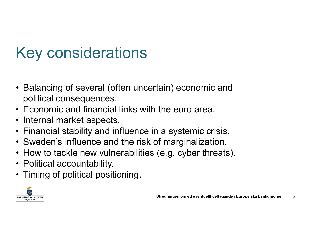### Key considerations

- Key considerations<br>• Balancing of several (often uncertain) economic and<br>• Economic and financial links with the euro area. political consequences. • Key considerations<br>• Balancing of several (often uncertain) economic and<br>political consequences.<br>• Economic and financial links with the euro area.<br>• Internal market aspects.<br>• Financial stability and influence in a syst Key considerations<br>• Balancing of several (often uncer<br>political consequences.<br>• Economic and financial links with<br>• Internal market aspects.<br>• Financial stability and influence ir<br>• Sweden's influence and the risk o • Balancing of several (often uncertain) economic and<br>
• Balancing of several (often uncertain) economic and<br>
• Economic and financial links with the euro area.<br>
• Internal market aspects.<br>
• Financial stability and influe • Balancing of several (often uncertain) economic and political consequences.<br>• Economic and financial links with the euro area.<br>• Internal market aspects.<br>• Financial stability and influence in a systemic crisis.<br>• Sweden • Balancing of several (often uncertain) economic and<br>
• Balancing of several (often uncertain) economic and<br>
• Economic and financial links with the euro area.<br>
• Internal market aspects.<br>
• Financial stability and influe • Balancing of several (often unce<br>political consequences.<br>• Economic and financial links wit<br>• Internal market aspects.<br>• Financial stability and influence<br>• Sweden's influence and the risk<br>• How to tackle new vulnerabili • Balancing of several (often uncertain) economic an political consequences.<br>• Economic and financial links with the euro area.<br>• Internal market aspects.<br>• Financial stability and influence in a systemic crisis<br>• Sweden's
- 
- 
- 
- 
- 
- 
- 

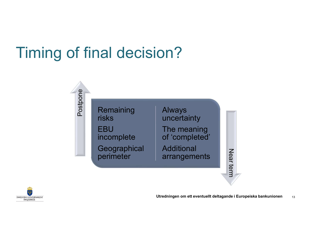### Timing of final decision?